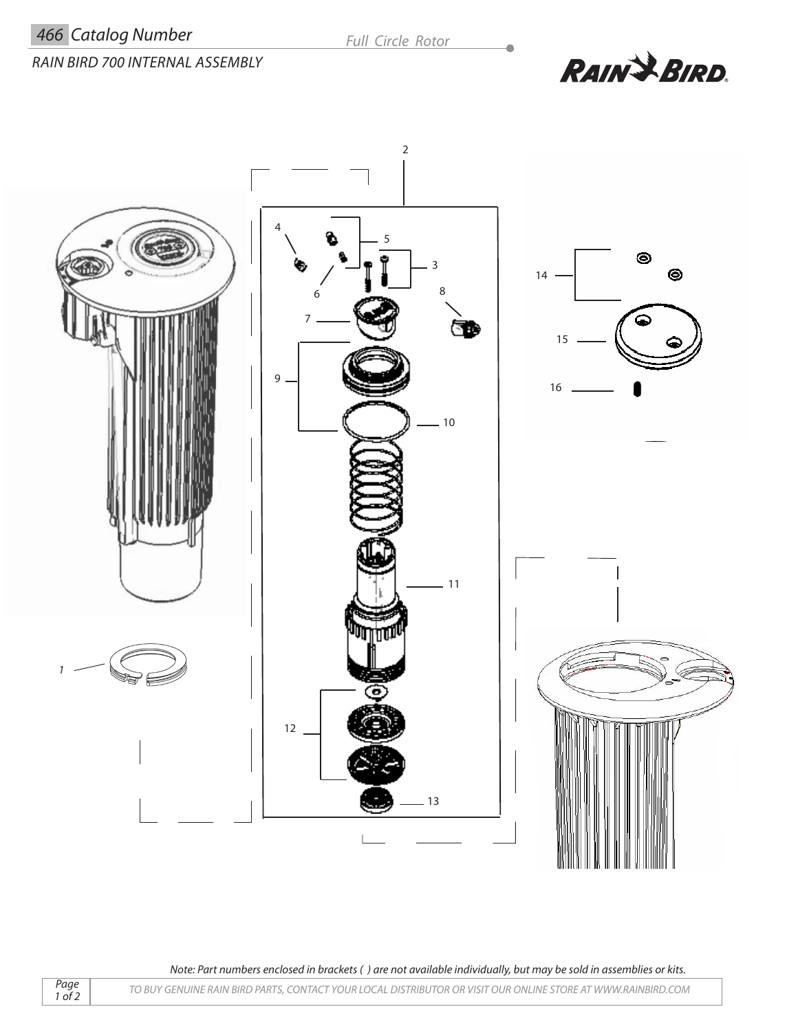$\overline{\phantom{a}}$ 



**RAIN & BIRD.** 



*Note: Part numbers enclosed in brackets ( ) are not available individually, but may be sold in assemblies or kits.*